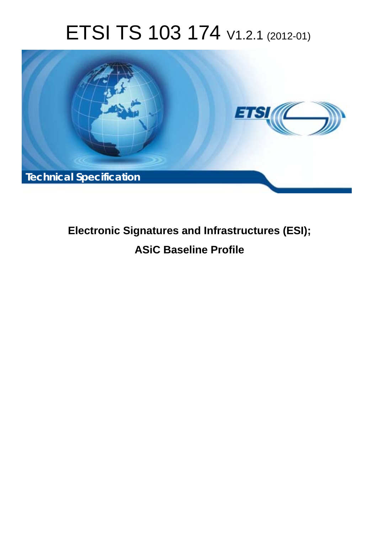# ETSI TS 103 174 V1.2.1 (2012-01)



# **Electronic Signatures and Infrastructures (ESI); ASiC Baseline Profile**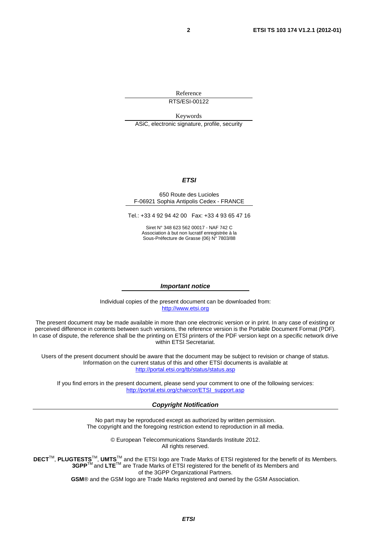Reference RTS/ESI-00122

Keywords ASiC, electronic signature, profile, security

#### *ETSI*

#### 650 Route des Lucioles F-06921 Sophia Antipolis Cedex - FRANCE

Tel.: +33 4 92 94 42 00 Fax: +33 4 93 65 47 16

Siret N° 348 623 562 00017 - NAF 742 C Association à but non lucratif enregistrée à la Sous-Préfecture de Grasse (06) N° 7803/88

#### *Important notice*

Individual copies of the present document can be downloaded from: [http://www.etsi.org](http://www.etsi.org/)

The present document may be made available in more than one electronic version or in print. In any case of existing or perceived difference in contents between such versions, the reference version is the Portable Document Format (PDF). In case of dispute, the reference shall be the printing on ETSI printers of the PDF version kept on a specific network drive within ETSI Secretariat.

Users of the present document should be aware that the document may be subject to revision or change of status. Information on the current status of this and other ETSI documents is available at <http://portal.etsi.org/tb/status/status.asp>

If you find errors in the present document, please send your comment to one of the following services: [http://portal.etsi.org/chaircor/ETSI\\_support.asp](http://portal.etsi.org/chaircor/ETSI_support.asp)

#### *Copyright Notification*

No part may be reproduced except as authorized by written permission. The copyright and the foregoing restriction extend to reproduction in all media.

> © European Telecommunications Standards Institute 2012. All rights reserved.

DECT<sup>™</sup>, PLUGTESTS<sup>™</sup>, UMTS<sup>™</sup> and the ETSI logo are Trade Marks of ETSI registered for the benefit of its Members. **3GPP**TM and **LTE**TM are Trade Marks of ETSI registered for the benefit of its Members and of the 3GPP Organizational Partners.

**GSM**® and the GSM logo are Trade Marks registered and owned by the GSM Association.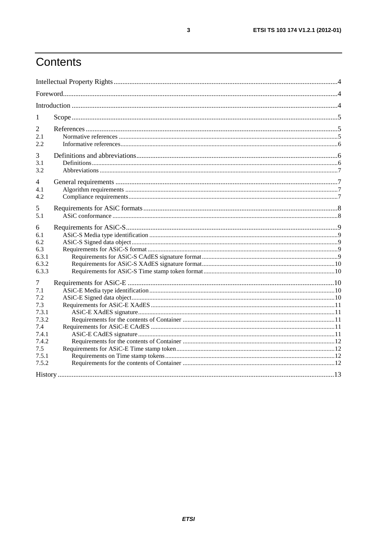# Contents

| 1              |  |
|----------------|--|
| 2              |  |
| 2.1<br>2.2     |  |
| 3              |  |
| 3.1            |  |
| 3.2            |  |
| $\overline{4}$ |  |
| 4.1            |  |
| 4.2            |  |
| 5              |  |
| 5.1            |  |
| 6              |  |
| 6.1            |  |
| 6.2            |  |
| 6.3            |  |
| 6.3.1          |  |
| 6.3.2          |  |
| 6.3.3          |  |
| 7              |  |
| 7.1            |  |
| 7.2            |  |
| 7.3            |  |
| 7.3.1          |  |
| 7.3.2          |  |
| 7.4            |  |
| 7.4.1          |  |
| 7.4.2          |  |
| 7.5            |  |
| 7.5.1          |  |
| 7.5.2          |  |
|                |  |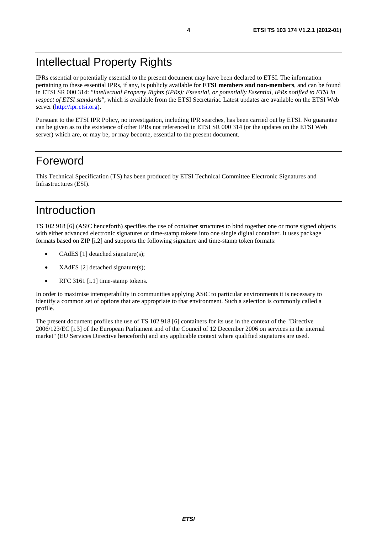# Intellectual Property Rights

IPRs essential or potentially essential to the present document may have been declared to ETSI. The information pertaining to these essential IPRs, if any, is publicly available for **ETSI members and non-members**, and can be found in ETSI SR 000 314: *"Intellectual Property Rights (IPRs); Essential, or potentially Essential, IPRs notified to ETSI in respect of ETSI standards"*, which is available from the ETSI Secretariat. Latest updates are available on the ETSI Web server ([http://ipr.etsi.org\)](http://webapp.etsi.org/IPR/home.asp).

Pursuant to the ETSI IPR Policy, no investigation, including IPR searches, has been carried out by ETSI. No guarantee can be given as to the existence of other IPRs not referenced in ETSI SR 000 314 (or the updates on the ETSI Web server) which are, or may be, or may become, essential to the present document.

### Foreword

This Technical Specification (TS) has been produced by ETSI Technical Committee Electronic Signatures and Infrastructures (ESI).

### Introduction

TS 102 918 [6] (ASiC henceforth) specifies the use of container structures to bind together one or more signed objects with either advanced electronic signatures or time-stamp tokens into one single digital container. It uses package formats based on ZIP [i.2] and supports the following signature and time-stamp token formats:

- CAdES [1] detached signature(s);
- XAdES [2] detached signature(s);
- RFC 3161 [i.1] time-stamp tokens.

In order to maximise interoperability in communities applying ASiC to particular environments it is necessary to identify a common set of options that are appropriate to that environment. Such a selection is commonly called a profile.

The present document profiles the use of TS 102 918 [6] containers for its use in the context of the "Directive 2006/123/EC [i.3] of the European Parliament and of the Council of 12 December 2006 on services in the internal market" (EU Services Directive henceforth) and any applicable context where qualified signatures are used.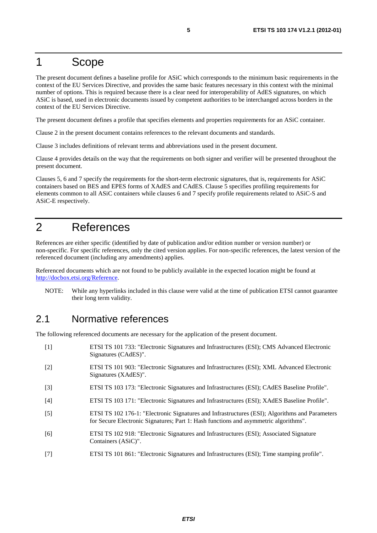### 1 Scope

The present document defines a baseline profile for ASiC which corresponds to the minimum basic requirements in the context of the EU Services Directive, and provides the same basic features necessary in this context with the minimal number of options. This is required because there is a clear need for interoperability of AdES signatures, on which ASiC is based, used in electronic documents issued by competent authorities to be interchanged across borders in the context of the EU Services Directive.

The present document defines a profile that specifies elements and properties requirements for an ASiC container.

Clause 2 in the present document contains references to the relevant documents and standards.

Clause 3 includes definitions of relevant terms and abbreviations used in the present document.

Clause 4 provides details on the way that the requirements on both signer and verifier will be presented throughout the present document.

Clauses 5, 6 and 7 specify the requirements for the short-term electronic signatures, that is, requirements for ASiC containers based on BES and EPES forms of XAdES and CAdES. Clause 5 specifies profiling requirements for elements common to all ASiC containers while clauses 6 and 7 specify profile requirements related to ASiC-S and ASiC-E respectively.

### 2 References

References are either specific (identified by date of publication and/or edition number or version number) or non-specific. For specific references, only the cited version applies. For non-specific references, the latest version of the referenced document (including any amendments) applies.

Referenced documents which are not found to be publicly available in the expected location might be found at [http://docbox.etsi.org/Reference.](http://docbox.etsi.org/Reference)

NOTE: While any hyperlinks included in this clause were valid at the time of publication ETSI cannot guarantee their long term validity.

#### 2.1 Normative references

The following referenced documents are necessary for the application of the present document.

- [1] ETSI TS 101 733: "Electronic Signatures and Infrastructures (ESI); CMS Advanced Electronic Signatures (CAdES)". [2] ETSI TS 101 903: "Electronic Signatures and Infrastructures (ESI); XML Advanced Electronic Signatures (XAdES)". [3] ETSI TS 103 173: "Electronic Signatures and Infrastructures (ESI); CAdES Baseline Profile".
- [4] ETSI TS 103 171: "Electronic Signatures and Infrastructures (ESI); XAdES Baseline Profile".
- [5] ETSI TS 102 176-1: "Electronic Signatures and Infrastructures (ESI); Algorithms and Parameters for Secure Electronic Signatures; Part 1: Hash functions and asymmetric algorithms".
- [6] ETSI TS 102 918: "Electronic Signatures and Infrastructures (ESI); Associated Signature Containers (ASiC)".
- [7] ETSI TS 101 861: "Electronic Signatures and Infrastructures (ESI); Time stamping profile".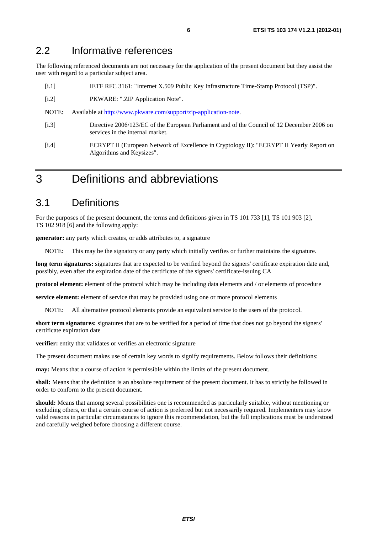#### 2.2 Informative references

The following referenced documents are not necessary for the application of the present document but they assist the user with regard to a particular subject area.

- [i.1] IETF RFC 3161: "Internet X.509 Public Key Infrastructure Time-Stamp Protocol (TSP)".
- [i.2] PKWARE: ".ZIP Application Note".
- NOTE: Available at [http://www.pkware.com/support/zip-application-note.](http://www.pkware.com/support/zip-application-note)
- [i.3] Directive 2006/123/EC of the European Parliament and of the Council of 12 December 2006 on services in the internal market.
- [i.4] ECRYPT II (European Network of Excellence in Cryptology II): "ECRYPT II Yearly Report on Algorithms and Keysizes".

### 3 Definitions and abbreviations

#### 3.1 Definitions

For the purposes of the present document, the terms and definitions given in TS 101 733 [1], TS 101 903 [2], TS 102 918 [6] and the following apply:

**generator:** any party which creates, or adds attributes to, a signature

NOTE: This may be the signatory or any party which initially verifies or further maintains the signature.

long term signatures: signatures that are expected to be verified beyond the signers' certificate expiration date and, possibly, even after the expiration date of the certificate of the signers' certificate-issuing CA

**protocol element:** element of the protocol which may be including data elements and / or elements of procedure

**service element:** element of service that may be provided using one or more protocol elements

NOTE: All alternative protocol elements provide an equivalent service to the users of the protocol.

**short term signatures:** signatures that are to be verified for a period of time that does not go beyond the signers' certificate expiration date

**verifier:** entity that validates or verifies an electronic signature

The present document makes use of certain key words to signify requirements. Below follows their definitions:

**may:** Means that a course of action is permissible within the limits of the present document.

**shall:** Means that the definition is an absolute requirement of the present document. It has to strictly be followed in order to conform to the present document.

**should:** Means that among several possibilities one is recommended as particularly suitable, without mentioning or excluding others, or that a certain course of action is preferred but not necessarily required. Implementers may know valid reasons in particular circumstances to ignore this recommendation, but the full implications must be understood and carefully weighed before choosing a different course.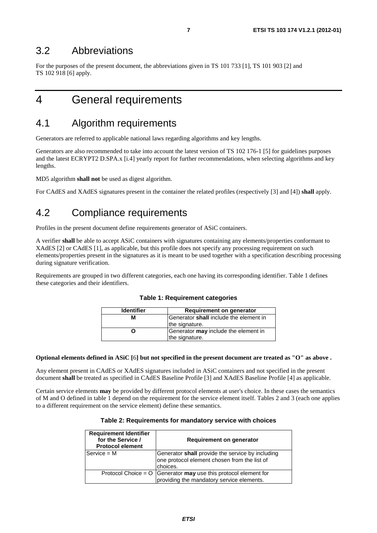#### 3.2 Abbreviations

For the purposes of the present document, the abbreviations given in TS 101 733 [1], TS 101 903 [2] and TS 102 918 [6] apply.

### 4 General requirements

### 4.1 Algorithm requirements

Generators are referred to applicable national laws regarding algorithms and key lengths.

Generators are also recommended to take into account the latest version of TS 102 176-1 [5] for guidelines purposes and the latest ECRYPT2 D.SPA.x [i.4] yearly report for further recommendations, when selecting algorithms and key lengths.

MD5 algorithm **shall not** be used as digest algorithm.

For CAdES and XAdES signatures present in the container the related profiles (respectively [3] and [4]) **shall** apply.

### 4.2 Compliance requirements

Profiles in the present document define requirements generator of ASiC containers.

A verifier **shall** be able to accept ASiC containers with signatures containing any elements/properties conformant to XAdES [2] or CAdES [1], as applicable, but this profile does not specify any processing requirement on such elements/properties present in the signatures as it is meant to be used together with a specification describing processing during signature verification.

Requirements are grouped in two different categories, each one having its corresponding identifier. Table 1 defines these categories and their identifiers.

| <b>Identifier</b> | Requirement on generator               |
|-------------------|----------------------------------------|
|                   | Generator shall include the element in |
|                   | the signature.                         |
|                   | Generator may include the element in   |
|                   | the signature.                         |

#### **Table 1: Requirement categories**

#### **Optional elements defined in ASiC [**6**] but not specified in the present document are treated as "O" as above .**

Any element present in CAdES or XAdES signatures included in ASiC containers and not specified in the present document **shall** be treated as specified in CAdES Baseline Profile [3] and XAdES Baseline Profile [4] as applicable.

Certain service elements **may** be provided by different protocol elements at user's choice. In these cases the semantics of M and O defined in table 1 depend on the requirement for the service element itself. Tables 2 and 3 (each one applies to a different requirement on the service element) define these semantics.

|  | Table 2: Requirements for mandatory service with choices |  |  |  |
|--|----------------------------------------------------------|--|--|--|
|--|----------------------------------------------------------|--|--|--|

| <b>Requirement Identifier</b><br>for the Service /<br><b>Protocol element</b> | Requirement on generator                                                                                       |
|-------------------------------------------------------------------------------|----------------------------------------------------------------------------------------------------------------|
| $Service = M$                                                                 | Generator shall provide the service by including<br>one protocol element chosen from the list of<br>choices.   |
|                                                                               | Protocol Choice = $O$ Generator may use this protocol element for<br>providing the mandatory service elements. |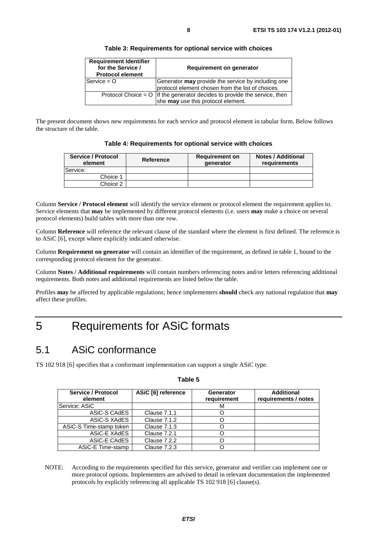| <b>Requirement Identifier</b><br>for the Service /<br><b>Protocol element</b> | Requirement on generator                                                      |
|-------------------------------------------------------------------------------|-------------------------------------------------------------------------------|
| $Service = 0$                                                                 | Generator may provide the service by including one                            |
|                                                                               | protocol element chosen from the list of choices.                             |
|                                                                               | Protocol Choice = $O$   If the generator decides to provide the service, then |
|                                                                               | she may use this protocol element.                                            |

**Table 3: Requirements for optional service with choices** 

The present document shows new requirements for each service and protocol element in tabular form. Below follows the structure of the table.

**Table 4: Requirements for optional service with choices** 

| Service / Protocol<br>element | Reference | <b>Requirement on</b><br><b>generator</b> | <b>Notes / Additional</b><br>requirements |
|-------------------------------|-----------|-------------------------------------------|-------------------------------------------|
| <b>Service:</b>               |           |                                           |                                           |
| Choice 1                      |           |                                           |                                           |
| Choice 2                      |           |                                           |                                           |

Column **Service / Protocol element** will identify the service element or protocol element the requirement applies to. Service elements that **may** be implemented by different protocol elements (i.e. users **may** make a choice on several protocol elements) build tables with more than one row.

Column **Reference** will reference the relevant clause of the standard where the element is first defined. The reference is to ASiC [6], except where explicitly indicated otherwise.

Column **Requirement on generator** will contain an identifier of the requirement, as defined in table 1, bound to the corresponding protocol element for the generator.

Column **Notes / Additional requirements** will contain numbers referencing notes and/or letters referencing additional requirements. Both notes and additional requirements are listed below the table.

Profiles **may** be affected by applicable regulations; hence implementers **should** check any national regulation that **may** affect these profiles.

# 5 Requirements for ASiC formats

### 5.1 ASiC conformance

TS 102 918 [6] specifies that a conformant implementation can support a single ASiC type.

| Service / Protocol<br>element | ASiC [6] reference  | <b>Generator</b><br>requirement | <b>Additional</b><br>requirements / notes |
|-------------------------------|---------------------|---------------------------------|-------------------------------------------|
| Service: ASiC                 |                     | м                               |                                           |
| ASiC-S CAdES                  | <b>Clause 7.1.1</b> |                                 |                                           |
| ASiC-S XAdES                  | <b>Clause 7.1.2</b> |                                 |                                           |
| ASiC-S Time-stamp token       | Clause 7.1.3        |                                 |                                           |
| ASiC-E XAdES                  | <b>Clause 7.2.1</b> |                                 |                                           |
| ASIC-E CAdES                  | Clause 7.2.2        |                                 |                                           |
| ASiC-E Time-stamp             | Clause 7.2.3        |                                 |                                           |

NOTE: According to the requirements specified for this service, generator and verifier can implement one or more protocol options. Implementers are advised to detail in relevant documentation the implemented protocols by explicitly referencing all applicable TS 102 918 [6] clause(s).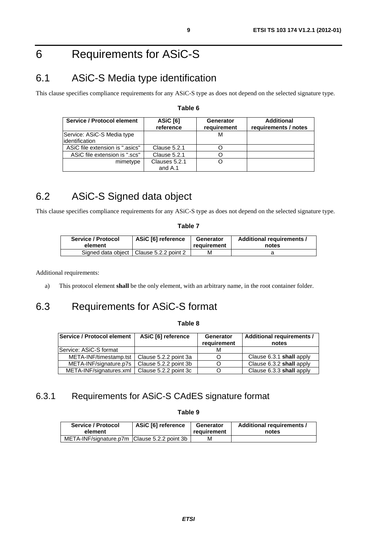# 6 Requirements for ASiC-S

### 6.1 ASiC-S Media type identification

This clause specifies compliance requirements for any ASiC-S type as does not depend on the selected signature type.

| Service / Protocol element      | ASiC [6]<br>reference    | Generator<br>requirement | Additional<br>requirements / notes |
|---------------------------------|--------------------------|--------------------------|------------------------------------|
| Service: ASiC-S Media type      |                          | М                        |                                    |
| lidentification                 |                          |                          |                                    |
| ASiC file extension is ".asics" | <b>Clause 5.2.1</b>      |                          |                                    |
| ASiC file extension is ".scs"   | <b>Clause 5.2.1</b>      |                          |                                    |
| mimetype                        | Clauses 5.2.1<br>and A.1 |                          |                                    |

#### **Table 6**

## 6.2 ASiC-S Signed data object

This clause specifies compliance requirements for any ASiC-S type as does not depend on the selected signature type.

#### **Table 7**

| Service / Protocol | <b>ASiC [6] reference</b>                 | Generator   | Additional requirements / |
|--------------------|-------------------------------------------|-------------|---------------------------|
| element            |                                           | requirement | notes                     |
|                    | Signed data object   Clause 5.2.2 point 2 | М           |                           |

Additional requirements:

a) This protocol element **shall** be the only element, with an arbitrary name, in the root container folder.

### 6.3 Requirements for ASiC-S format

**Table 8** 

| Service / Protocol element                      | ASiC [6] reference    | Generator<br>requirement | Additional requirements /<br>notes |
|-------------------------------------------------|-----------------------|--------------------------|------------------------------------|
| Service: ASiC-S format                          |                       |                          |                                    |
| META-INF/timestamp.tst                          | Clause 5.2.2 point 3a |                          | Clause 6.3.1 shall apply           |
| META-INF/signature.p7s                          | Clause 5.2.2 point 3b |                          | Clause 6.3.2 shall apply           |
| META-INF/signatures.xml   Clause 5.2.2 point 3c |                       |                          | Clause 6.3.3 shall apply           |

#### 6.3.1 Requirements for ASiC-S CAdES signature format

**Table 9** 

| Service / Protocol                           | ASiC [6] reference | Generator   | Additional requirements / |
|----------------------------------------------|--------------------|-------------|---------------------------|
| element                                      |                    | reauirement | notes                     |
| META-INF/signature.p7m Clause 5.2.2 point 3b |                    | м           |                           |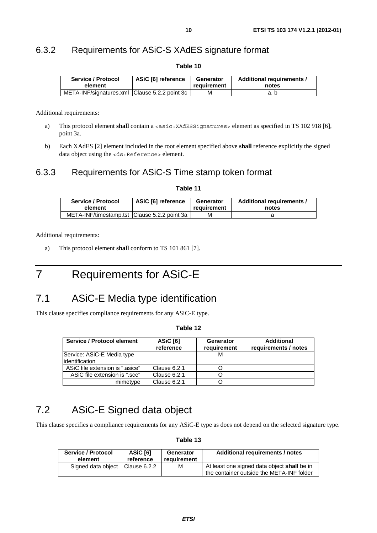#### 6.3.2 Requirements for ASiC-S XAdES signature format

| Service / Protocol<br>element                 | ASiC [6] reference | Generator<br>requirement | Additional requirements /<br>notes |
|-----------------------------------------------|--------------------|--------------------------|------------------------------------|
| META-INF/signatures.xml Clause 5.2.2 point 3c |                    | м                        | a. b                               |

**Table 10** 

Additional requirements:

- a) This protocol element **shall** contain a <asic: XAdESSignatures > element as specified in TS 102 918 [6], point 3a.
- b) Each XAdES [2] element included in the root element specified above **shall** reference explicitly the signed data object using the <ds: Reference> element.

#### 6.3.3 Requirements for ASiC-S Time stamp token format

#### **Table 11**

| Service / Protocol                             | ASiC [6] reference | Generator   | Additional requirements / |
|------------------------------------------------|--------------------|-------------|---------------------------|
| element                                        |                    | requirement | notes                     |
| META-INF/timestamp.tst   Clause 5.2.2 point 3a |                    | М           |                           |

Additional requirements:

a) This protocol element **shall** conform to TS 101 861 [7].

# 7 Requirements for ASiC-E

### 7.1 ASiC-E Media type identification

This clause specifies compliance requirements for any ASiC-E type.

#### **Table 12**

| Service / Protocol element                    | <b>ASiC [6]</b><br>reference | <b>Generator</b><br>requirement | <b>Additional</b><br>requirements / notes |
|-----------------------------------------------|------------------------------|---------------------------------|-------------------------------------------|
| Service: ASiC-E Media type<br>lidentification |                              |                                 |                                           |
| ASiC file extension is ".asice"               | Clause 6.2.1                 |                                 |                                           |
| ASiC file extension is ".sce"                 | Clause 6.2.1                 |                                 |                                           |
| mimetype                                      | Clause 6.2.1                 |                                 |                                           |

### 7.2 ASiC-E Signed data object

This clause specifies a compliance requirements for any ASiC-E type as does not depend on the selected signature type.

#### **Table 13**

| <b>Service / Protocol</b>         | ASiC [6]  | Generator   | Additional requirements / notes                                                          |
|-----------------------------------|-----------|-------------|------------------------------------------------------------------------------------------|
| element                           | reference | requirement |                                                                                          |
| Signed data object   Clause 6.2.2 |           | м           | At least one signed data object shall be in<br>the container outside the META-INF folder |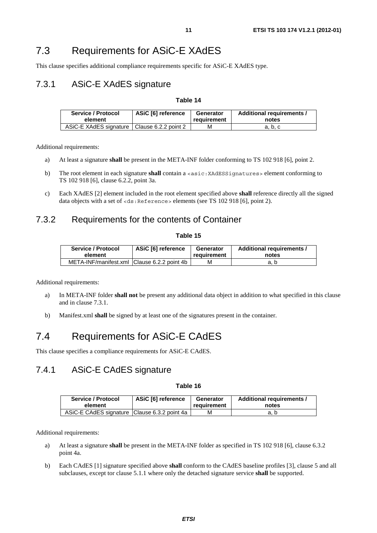### 7.3 Requirements for ASiC-E XAdES

This clause specifies additional compliance requirements specific for ASiC-E XAdES type.

#### 7.3.1 ASiC-E XAdES signature

#### **Table 14**

| Service / Protocol                            | ASiC [6] reference | Generator   | Additional requirements / |
|-----------------------------------------------|--------------------|-------------|---------------------------|
| element                                       |                    | reauirement | notes                     |
| ASiC-E XAdES signature   Clause 6.2.2 point 2 |                    | м           | a. b. c                   |

Additional requirements:

- a) At least a signature **shall** be present in the META-INF folder conforming to TS 102 918 [6], point 2.
- b) The root element in each signature **shall** contain a <asic:XAdESSignatures> element conforming to TS 102 918 [6], clause 6.2.2, point 3a.
- c) Each XAdES [2] element included in the root element specified above **shall** reference directly all the signed data objects with a set of <ds:Reference> elements (see TS 102 918 [6], point 2).

#### 7.3.2 Requirements for the contents of Container

#### **Table 15**

| Service / Protocol                          | ASiC [6] reference | Generator   | Additional requirements / |
|---------------------------------------------|--------------------|-------------|---------------------------|
| element                                     |                    | requirement | notes                     |
| META-INF/manifest.xml Clause 6.2.2 point 4b |                    | м           | a. b                      |

Additional requirements:

- a) In META-INF folder **shall not** be present any additional data object in addition to what specified in this clause and in clause 7.3.1.
- b) Manifest.xml **shall** be signed by at least one of the signatures present in the container.

### 7.4 Requirements for ASiC-E CAdES

This clause specifies a compliance requirements for ASiC-E CAdES.

#### 7.4.1 ASiC-E CAdES signature

#### **Table 16**

| Service / Protocol                           | ASiC [6] reference | Generator   | Additional requirements / |
|----------------------------------------------|--------------------|-------------|---------------------------|
| element                                      |                    | requirement | notes                     |
| ASiC-E CAdES signature Clause 6.3.2 point 4a |                    | м           |                           |

Additional requirements:

- a) At least a signature **shall** be present in the META-INF folder as specified in TS 102 918 [6], clause 6.3.2 point 4a.
- b) Each CAdES [1] signature specified above **shall** conform to the CAdES baseline profiles [3], clause 5 and all subclauses, except tor clause 5.1.1 where only the detached signature service **shall** be supported.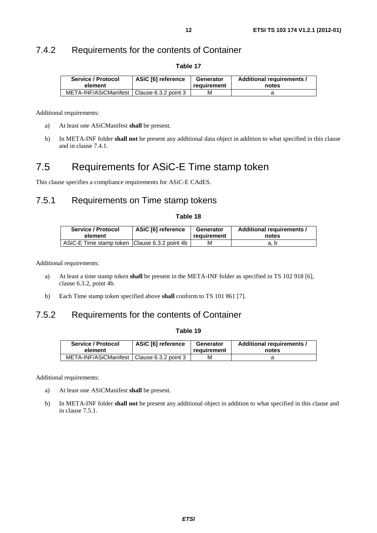### 7.4.2 Requirements for the contents of Container

| Service / Protocol                           | ASiC [6] reference | Generator   | Additional requirements / |
|----------------------------------------------|--------------------|-------------|---------------------------|
| element                                      |                    | reauirement | notes                     |
| META-INF/ASiCManifest   Clause 6.3.2 point 3 |                    | м           |                           |

**Table 17** 

Additional requirements:

- a) At least one ASiCManifest **shall** be present.
- b) In META-INF folder **shall not** be present any additional data object in addition to what specified in this clause and in clause 7.4.1.

### 7.5 Requirements for ASiC-E Time stamp token

This clause specifies a compliance requirements for ASiC-E CAdES.

#### 7.5.1 Requirements on Time stamp tokens

| able |  |
|------|--|
|------|--|

| Service / Protocol                              | ASiC [6] reference | Generator   | Additional requirements / |
|-------------------------------------------------|--------------------|-------------|---------------------------|
| element                                         |                    | requirement | notes                     |
| ASiC-E Time stamp token   Clause 6.3.2 point 4b |                    | м           | a. b                      |

Additional requirements:

- a) At least a time stamp token **shall** be present in the META-INF folder as specified in TS 102 918 [6], clause 6.3.2, point 4b.
- b) Each Time stamp token specified above **shall** conform to TS 101 861 [7].

#### 7.5.2 Requirements for the contents of Container

#### **Table 19**

| Service / Protocol                           | ASiC [6] reference | Generator   | Additional requirements / |
|----------------------------------------------|--------------------|-------------|---------------------------|
| element                                      |                    | reauirement | notes                     |
| META-INF/ASiCManifest   Clause 6.3.2 point 3 |                    | м           |                           |

Additional requirements:

- a) At least one ASiCManifest **shall** be present.
- b) In META-INF folder **shall not** be present any additional object in addition to what specified in this clause and in clause 7.5.1.